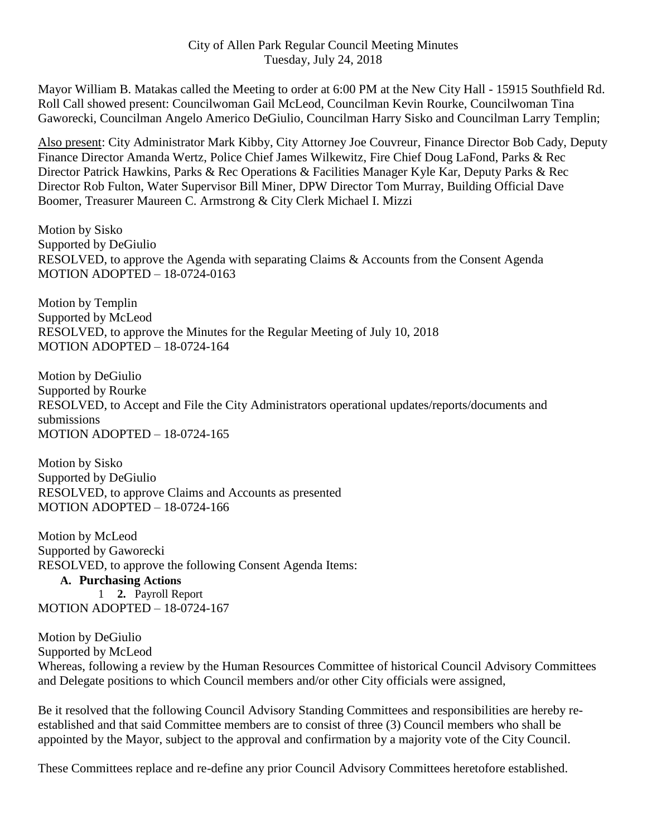#### City of Allen Park Regular Council Meeting Minutes Tuesday, July 24, 2018

Mayor William B. Matakas called the Meeting to order at 6:00 PM at the New City Hall - 15915 Southfield Rd. Roll Call showed present: Councilwoman Gail McLeod, Councilman Kevin Rourke, Councilwoman Tina Gaworecki, Councilman Angelo Americo DeGiulio, Councilman Harry Sisko and Councilman Larry Templin;

Also present: City Administrator Mark Kibby, City Attorney Joe Couvreur, Finance Director Bob Cady, Deputy Finance Director Amanda Wertz, Police Chief James Wilkewitz, Fire Chief Doug LaFond, Parks & Rec Director Patrick Hawkins, Parks & Rec Operations & Facilities Manager Kyle Kar, Deputy Parks & Rec Director Rob Fulton, Water Supervisor Bill Miner, DPW Director Tom Murray, Building Official Dave Boomer, Treasurer Maureen C. Armstrong & City Clerk Michael I. Mizzi

Motion by Sisko Supported by DeGiulio RESOLVED, to approve the Agenda with separating Claims & Accounts from the Consent Agenda MOTION ADOPTED – 18-0724-0163

Motion by Templin Supported by McLeod RESOLVED, to approve the Minutes for the Regular Meeting of July 10, 2018 MOTION ADOPTED – 18-0724-164

Motion by DeGiulio Supported by Rourke RESOLVED, to Accept and File the City Administrators operational updates/reports/documents and submissions MOTION ADOPTED – 18-0724-165

Motion by Sisko Supported by DeGiulio RESOLVED, to approve Claims and Accounts as presented MOTION ADOPTED – 18-0724-166

Motion by McLeod Supported by Gaworecki RESOLVED, to approve the following Consent Agenda Items: **A. Purchasing Actions** 1 **2.** Payroll Report MOTION ADOPTED – 18-0724-167

Motion by DeGiulio Supported by McLeod Whereas, following a review by the Human Resources Committee of historical Council Advisory Committees and Delegate positions to which Council members and/or other City officials were assigned,

Be it resolved that the following Council Advisory Standing Committees and responsibilities are hereby reestablished and that said Committee members are to consist of three (3) Council members who shall be appointed by the Mayor, subject to the approval and confirmation by a majority vote of the City Council.

These Committees replace and re-define any prior Council Advisory Committees heretofore established.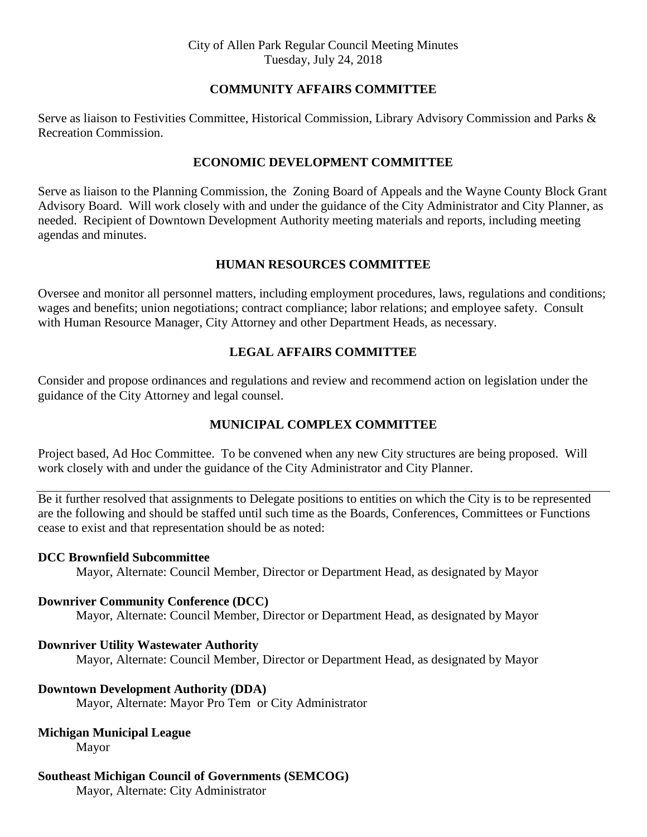#### **COMMUNITY AFFAIRS COMMITTEE**

Serve as liaison to Festivities Committee, Historical Commission, Library Advisory Commission and Parks & Recreation Commission.

#### **ECONOMIC DEVELOPMENT COMMITTEE**

Serve as liaison to the Planning Commission, the Zoning Board of Appeals and the Wayne County Block Grant Advisory Board. Will work closely with and under the guidance of the City Administrator and City Planner, as needed. Recipient of Downtown Development Authority meeting materials and reports, including meeting agendas and minutes.

#### **HUMAN RESOURCES COMMITTEE**

Oversee and monitor all personnel matters, including employment procedures, laws, regulations and conditions; wages and benefits; union negotiations; contract compliance; labor relations; and employee safety. Consult with Human Resource Manager, City Attorney and other Department Heads, as necessary.

# **LEGAL AFFAIRS COMMITTEE**

Consider and propose ordinances and regulations and review and recommend action on legislation under the guidance of the City Attorney and legal counsel.

# **MUNICIPAL COMPLEX COMMITTEE**

Project based, Ad Hoc Committee. To be convened when any new City structures are being proposed. Will work closely with and under the guidance of the City Administrator and City Planner.

Be it further resolved that assignments to Delegate positions to entities on which the City is to be represented are the following and should be staffed until such time as the Boards, Conferences, Committees or Functions cease to exist and that representation should be as noted:

#### **DCC Brownfield Subcommittee**

Mayor, Alternate: Council Member, Director or Department Head, as designated by Mayor

# **Downriver Community Conference (DCC)**

Mayor, Alternate: Council Member, Director or Department Head, as designated by Mayor

# **Downriver Utility Wastewater Authority**

Mayor, Alternate: Council Member, Director or Department Head, as designated by Mayor

# **Downtown Development Authority (DDA)**

Mayor, Alternate: Mayor Pro Tem or City Administrator

# **Michigan Municipal League**

Mayor

# **Southeast Michigan Council of Governments (SEMCOG)**

Mayor, Alternate: City Administrator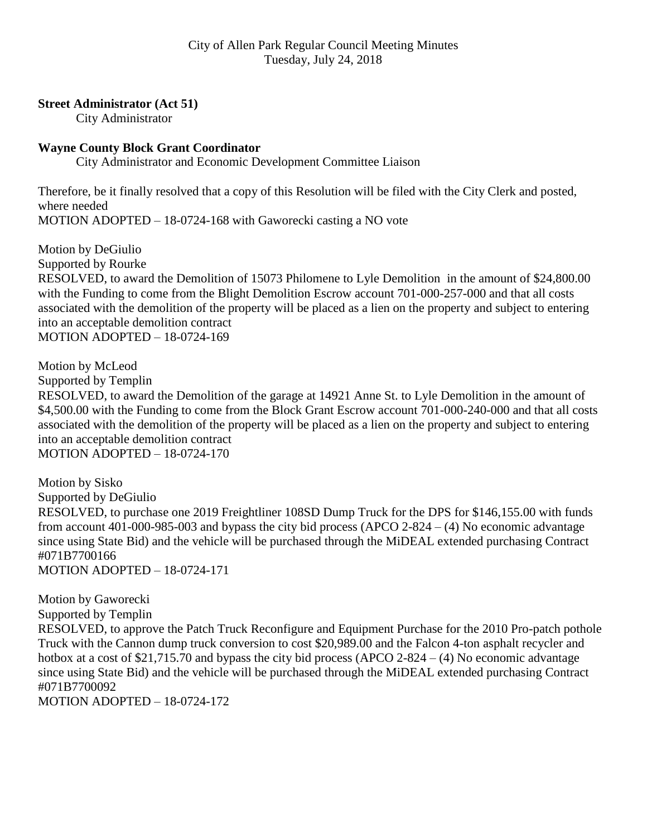#### **Street Administrator (Act 51)**

City Administrator

#### **Wayne County Block Grant Coordinator**

City Administrator and Economic Development Committee Liaison

Therefore, be it finally resolved that a copy of this Resolution will be filed with the City Clerk and posted, where needed MOTION ADOPTED – 18-0724-168 with Gaworecki casting a NO vote

Motion by DeGiulio Supported by Rourke RESOLVED, to award the Demolition of 15073 Philomene to Lyle Demolition in the amount of \$24,800.00 with the Funding to come from the Blight Demolition Escrow account 701-000-257-000 and that all costs associated with the demolition of the property will be placed as a lien on the property and subject to entering into an acceptable demolition contract MOTION ADOPTED – 18-0724-169

Motion by McLeod Supported by Templin RESOLVED, to award the Demolition of the garage at 14921 Anne St. to Lyle Demolition in the amount of \$4,500.00 with the Funding to come from the Block Grant Escrow account 701-000-240-000 and that all costs associated with the demolition of the property will be placed as a lien on the property and subject to entering into an acceptable demolition contract MOTION ADOPTED – 18-0724-170

Motion by Sisko Supported by DeGiulio RESOLVED, to purchase one 2019 Freightliner 108SD Dump Truck for the DPS for \$146,155.00 with funds from account 401-000-985-003 and bypass the city bid process (APCO 2-824 – (4) No economic advantage since using State Bid) and the vehicle will be purchased through the MiDEAL extended purchasing Contract #071B7700166 MOTION ADOPTED – 18-0724-171

Motion by Gaworecki Supported by Templin RESOLVED, to approve the Patch Truck Reconfigure and Equipment Purchase for the 2010 Pro-patch pothole Truck with the Cannon dump truck conversion to cost \$20,989.00 and the Falcon 4-ton asphalt recycler and hotbox at a cost of \$21,715.70 and bypass the city bid process (APCO 2-824 – (4) No economic advantage since using State Bid) and the vehicle will be purchased through the MiDEAL extended purchasing Contract #071B7700092 MOTION ADOPTED – 18-0724-172